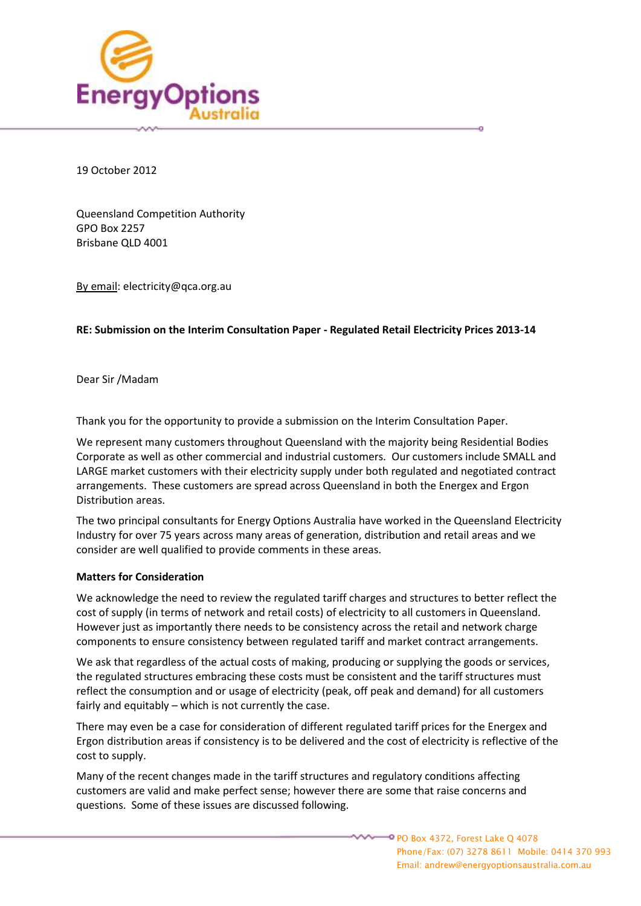

19 October 2012

Queensland Competition Authority GPO Box 2257 Brisbane QLD 4001

By email: electricity@qca.org.au

# **RE: Submission on the Interim Consultation Paper - Regulated Retail Electricity Prices 2013-14**

Dear Sir /Madam

Thank you for the opportunity to provide a submission on the Interim Consultation Paper.

We represent many customers throughout Queensland with the majority being Residential Bodies Corporate as well as other commercial and industrial customers. Our customers include SMALL and LARGE market customers with their electricity supply under both regulated and negotiated contract arrangements. These customers are spread across Queensland in both the Energex and Ergon Distribution areas.

The two principal consultants for Energy Options Australia have worked in the Queensland Electricity Industry for over 75 years across many areas of generation, distribution and retail areas and we consider are well qualified to provide comments in these areas.

# **Matters for Consideration**

We acknowledge the need to review the regulated tariff charges and structures to better reflect the cost of supply (in terms of network and retail costs) of electricity to all customers in Queensland. However just as importantly there needs to be consistency across the retail and network charge components to ensure consistency between regulated tariff and market contract arrangements.

We ask that regardless of the actual costs of making, producing or supplying the goods or services, the regulated structures embracing these costs must be consistent and the tariff structures must reflect the consumption and or usage of electricity (peak, off peak and demand) for all customers fairly and equitably – which is not currently the case.

There may even be a case for consideration of different regulated tariff prices for the Energex and Ergon distribution areas if consistency is to be delivered and the cost of electricity is reflective of the cost to supply.

Many of the recent changes made in the tariff structures and regulatory conditions affecting customers are valid and make perfect sense; however there are some that raise concerns and questions. Some of these issues are discussed following.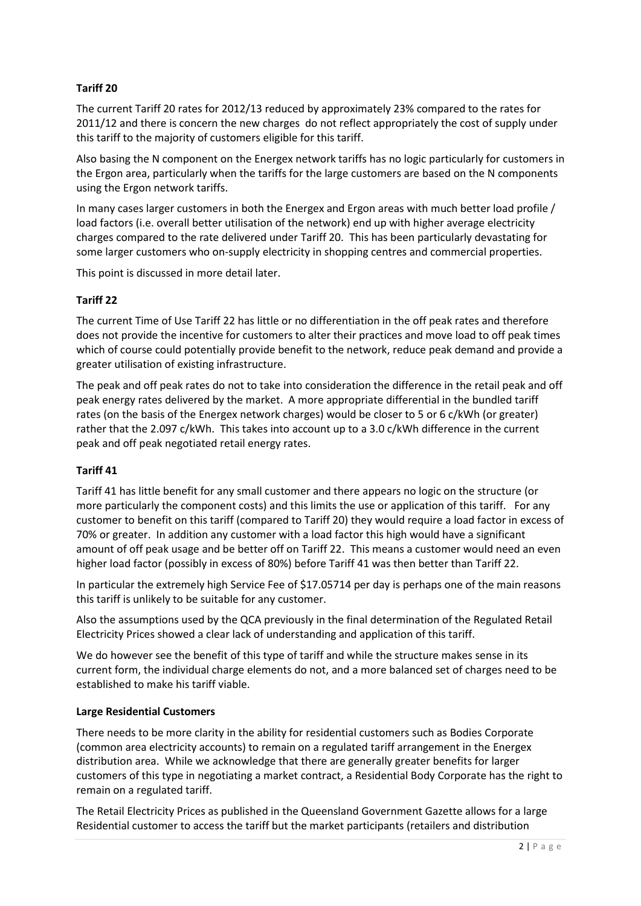# **Tariff 20**

The current Tariff 20 rates for 2012/13 reduced by approximately 23% compared to the rates for 2011/12 and there is concern the new charges do not reflect appropriately the cost of supply under this tariff to the majority of customers eligible for this tariff.

Also basing the N component on the Energex network tariffs has no logic particularly for customers in the Ergon area, particularly when the tariffs for the large customers are based on the N components using the Ergon network tariffs.

In many cases larger customers in both the Energex and Ergon areas with much better load profile / load factors (i.e. overall better utilisation of the network) end up with higher average electricity charges compared to the rate delivered under Tariff 20. This has been particularly devastating for some larger customers who on-supply electricity in shopping centres and commercial properties.

This point is discussed in more detail later.

# **Tariff 22**

The current Time of Use Tariff 22 has little or no differentiation in the off peak rates and therefore does not provide the incentive for customers to alter their practices and move load to off peak times which of course could potentially provide benefit to the network, reduce peak demand and provide a greater utilisation of existing infrastructure.

The peak and off peak rates do not to take into consideration the difference in the retail peak and off peak energy rates delivered by the market. A more appropriate differential in the bundled tariff rates (on the basis of the Energex network charges) would be closer to 5 or 6 c/kWh (or greater) rather that the 2.097 c/kWh. This takes into account up to a 3.0 c/kWh difference in the current peak and off peak negotiated retail energy rates.

# **Tariff 41**

Tariff 41 has little benefit for any small customer and there appears no logic on the structure (or more particularly the component costs) and this limits the use or application of this tariff. For any customer to benefit on this tariff (compared to Tariff 20) they would require a load factor in excess of 70% or greater. In addition any customer with a load factor this high would have a significant amount of off peak usage and be better off on Tariff 22. This means a customer would need an even higher load factor (possibly in excess of 80%) before Tariff 41 was then better than Tariff 22.

In particular the extremely high Service Fee of \$17.05714 per day is perhaps one of the main reasons this tariff is unlikely to be suitable for any customer.

Also the assumptions used by the QCA previously in the final determination of the Regulated Retail Electricity Prices showed a clear lack of understanding and application of this tariff.

We do however see the benefit of this type of tariff and while the structure makes sense in its current form, the individual charge elements do not, and a more balanced set of charges need to be established to make his tariff viable.

### **Large Residential Customers**

There needs to be more clarity in the ability for residential customers such as Bodies Corporate (common area electricity accounts) to remain on a regulated tariff arrangement in the Energex distribution area. While we acknowledge that there are generally greater benefits for larger customers of this type in negotiating a market contract, a Residential Body Corporate has the right to remain on a regulated tariff.

The Retail Electricity Prices as published in the Queensland Government Gazette allows for a large Residential customer to access the tariff but the market participants (retailers and distribution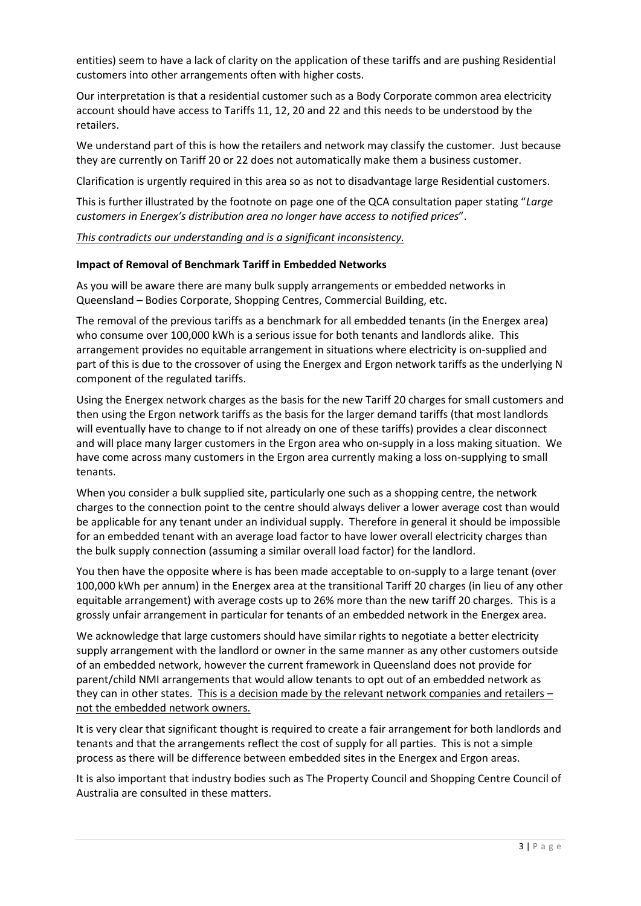entities) seem to have a lack of clarity on the application of these tariffs and are pushing Residential customers into other arrangements often with higher costs.

Our interpretation is that a residential customer such as a Body Corporate common area electricity account should have access to Tariffs 11, 12, 20 and 22 and this needs to be understood by the retailers.

We understand part of this is how the retailers and network may classify the customer. Just because they are currently on Tariff 20 or 22 does not automatically make them a business customer.

Clarification is urgently required in this area so as not to disadvantage large Residential customers.

This is further illustrated by the footnote on page one of the QCA consultation paper stating "*Large customers in Energex's distribution area no longer have access to notified prices*".

*This contradicts our understanding and is a significant inconsistency.*

#### **Impact of Removal of Benchmark Tariff in Embedded Networks**

As you will be aware there are many bulk supply arrangements or embedded networks in Queensland – Bodies Corporate, Shopping Centres, Commercial Building, etc.

The removal of the previous tariffs as a benchmark for all embedded tenants (in the Energex area) who consume over 100,000 kWh is a serious issue for both tenants and landlords alike. This arrangement provides no equitable arrangement in situations where electricity is on-supplied and part of this is due to the crossover of using the Energex and Ergon network tariffs as the underlying N component of the regulated tariffs.

Using the Energex network charges as the basis for the new Tariff 20 charges for small customers and then using the Ergon network tariffs as the basis for the larger demand tariffs (that most landlords will eventually have to change to if not already on one of these tariffs) provides a clear disconnect and will place many larger customers in the Ergon area who on-supply in a loss making situation. We have come across many customers in the Ergon area currently making a loss on-supplying to small tenants.

When you consider a bulk supplied site, particularly one such as a shopping centre, the network charges to the connection point to the centre should always deliver a lower average cost than would be applicable for any tenant under an individual supply. Therefore in general it should be impossible for an embedded tenant with an average load factor to have lower overall electricity charges than the bulk supply connection (assuming a similar overall load factor) for the landlord.

You then have the opposite where is has been made acceptable to on-supply to a large tenant (over 100,000 kWh per annum) in the Energex area at the transitional Tariff 20 charges (in lieu of any other equitable arrangement) with average costs up to 26% more than the new tariff 20 charges. This is a grossly unfair arrangement in particular for tenants of an embedded network in the Energex area.

We acknowledge that large customers should have similar rights to negotiate a better electricity supply arrangement with the landlord or owner in the same manner as any other customers outside of an embedded network, however the current framework in Queensland does not provide for parent/child NMI arrangements that would allow tenants to opt out of an embedded network as they can in other states. This is a decision made by the relevant network companies and retailers – not the embedded network owners.

It is very clear that significant thought is required to create a fair arrangement for both landlords and tenants and that the arrangements reflect the cost of supply for all parties. This is not a simple process as there will be difference between embedded sites in the Energex and Ergon areas.

It is also important that industry bodies such as The Property Council and Shopping Centre Council of Australia are consulted in these matters.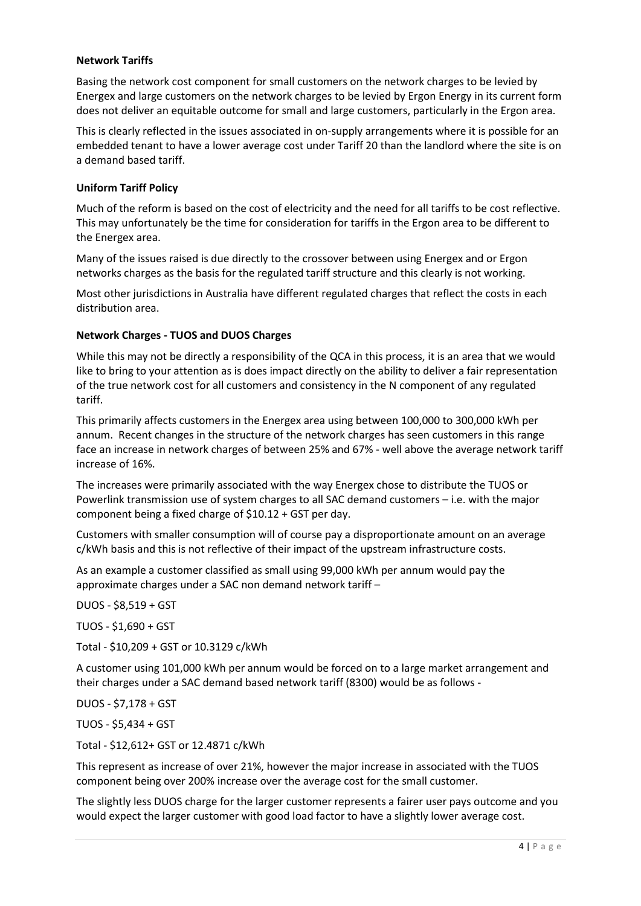### **Network Tariffs**

Basing the network cost component for small customers on the network charges to be levied by Energex and large customers on the network charges to be levied by Ergon Energy in its current form does not deliver an equitable outcome for small and large customers, particularly in the Ergon area.

This is clearly reflected in the issues associated in on-supply arrangements where it is possible for an embedded tenant to have a lower average cost under Tariff 20 than the landlord where the site is on a demand based tariff.

### **Uniform Tariff Policy**

Much of the reform is based on the cost of electricity and the need for all tariffs to be cost reflective. This may unfortunately be the time for consideration for tariffs in the Ergon area to be different to the Energex area.

Many of the issues raised is due directly to the crossover between using Energex and or Ergon networks charges as the basis for the regulated tariff structure and this clearly is not working.

Most other jurisdictions in Australia have different regulated charges that reflect the costs in each distribution area.

### **Network Charges - TUOS and DUOS Charges**

While this may not be directly a responsibility of the QCA in this process, it is an area that we would like to bring to your attention as is does impact directly on the ability to deliver a fair representation of the true network cost for all customers and consistency in the N component of any regulated tariff.

This primarily affects customers in the Energex area using between 100,000 to 300,000 kWh per annum. Recent changes in the structure of the network charges has seen customers in this range face an increase in network charges of between 25% and 67% - well above the average network tariff increase of 16%.

The increases were primarily associated with the way Energex chose to distribute the TUOS or Powerlink transmission use of system charges to all SAC demand customers – i.e. with the major component being a fixed charge of \$10.12 + GST per day.

Customers with smaller consumption will of course pay a disproportionate amount on an average c/kWh basis and this is not reflective of their impact of the upstream infrastructure costs.

As an example a customer classified as small using 99,000 kWh per annum would pay the approximate charges under a SAC non demand network tariff –

DUOS - \$8,519 + GST TUOS - \$1,690 + GST Total - \$10,209 + GST or 10.3129 c/kWh A customer using 101,000 kWh per annum would be forced on to a large market arrangement and their charges under a SAC demand based network tariff (8300) would be as follows - DUOS - \$7,178 + GST

TUOS - \$5,434 + GST

Total - \$12,612+ GST or 12.4871 c/kWh

This represent as increase of over 21%, however the major increase in associated with the TUOS component being over 200% increase over the average cost for the small customer.

The slightly less DUOS charge for the larger customer represents a fairer user pays outcome and you would expect the larger customer with good load factor to have a slightly lower average cost.